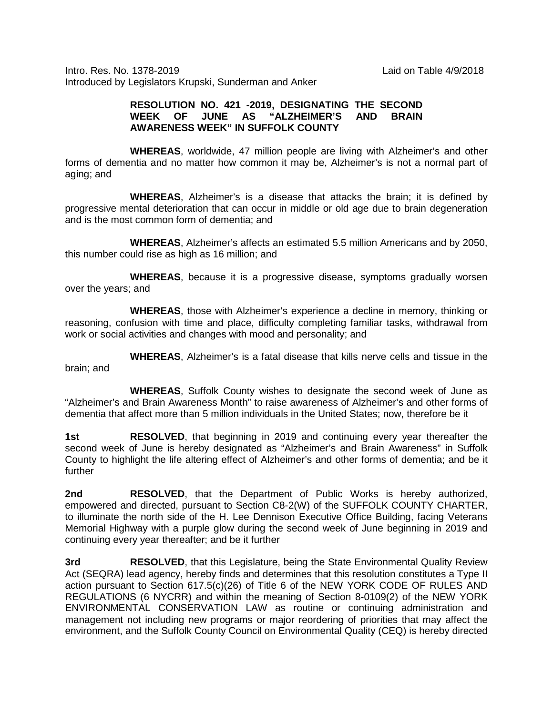Intro. Res. No. 1378-2019 Laid on Table 4/9/2018 Introduced by Legislators Krupski, Sunderman and Anker

## **RESOLUTION NO. 421 -2019, DESIGNATING THE SECOND WEEK OF JUNE AS "ALZHEIMER'S AND BRAIN AWARENESS WEEK" IN SUFFOLK COUNTY**

**WHEREAS**, worldwide, 47 million people are living with Alzheimer's and other forms of dementia and no matter how common it may be, Alzheimer's is not a normal part of aging; and

**WHEREAS**, Alzheimer's is a disease that attacks the brain; it is defined by progressive mental deterioration that can occur in middle or old age due to brain degeneration and is the most common form of dementia; and

**WHEREAS**, Alzheimer's affects an estimated 5.5 million Americans and by 2050, this number could rise as high as 16 million; and

**WHEREAS**, because it is a progressive disease, symptoms gradually worsen over the years; and

**WHEREAS**, those with Alzheimer's experience a decline in memory, thinking or reasoning, confusion with time and place, difficulty completing familiar tasks, withdrawal from work or social activities and changes with mood and personality; and

**WHEREAS**, Alzheimer's is a fatal disease that kills nerve cells and tissue in the brain; and

**WHEREAS**, Suffolk County wishes to designate the second week of June as "Alzheimer's and Brain Awareness Month" to raise awareness of Alzheimer's and other forms of dementia that affect more than 5 million individuals in the United States; now, therefore be it

**1st RESOLVED**, that beginning in 2019 and continuing every year thereafter the second week of June is hereby designated as "Alzheimer's and Brain Awareness" in Suffolk County to highlight the life altering effect of Alzheimer's and other forms of dementia; and be it further

**2nd RESOLVED**, that the Department of Public Works is hereby authorized, empowered and directed, pursuant to Section C8-2(W) of the SUFFOLK COUNTY CHARTER, to illuminate the north side of the H. Lee Dennison Executive Office Building, facing Veterans Memorial Highway with a purple glow during the second week of June beginning in 2019 and continuing every year thereafter; and be it further

**3rd RESOLVED**, that this Legislature, being the State Environmental Quality Review Act (SEQRA) lead agency, hereby finds and determines that this resolution constitutes a Type II action pursuant to Section 617.5(c)(26) of Title 6 of the NEW YORK CODE OF RULES AND REGULATIONS (6 NYCRR) and within the meaning of Section 8-0109(2) of the NEW YORK ENVIRONMENTAL CONSERVATION LAW as routine or continuing administration and management not including new programs or major reordering of priorities that may affect the environment, and the Suffolk County Council on Environmental Quality (CEQ) is hereby directed